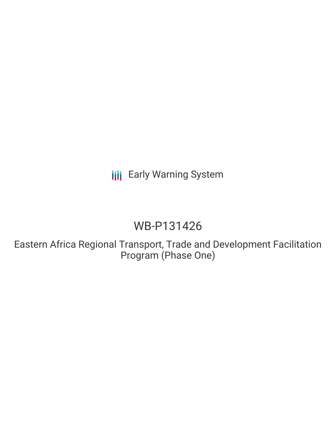**III** Early Warning System

# WB-P131426

Eastern Africa Regional Transport, Trade and Development Facilitation Program (Phase One)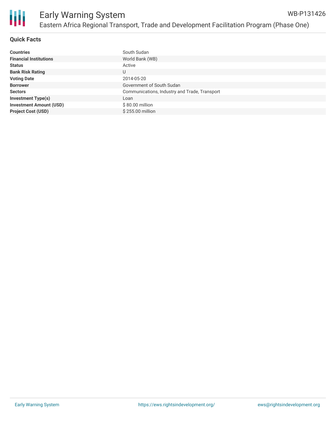

# **Quick Facts**

| <b>Countries</b>               | South Sudan                                   |
|--------------------------------|-----------------------------------------------|
| <b>Financial Institutions</b>  | World Bank (WB)                               |
| <b>Status</b>                  | Active                                        |
| <b>Bank Risk Rating</b>        | U                                             |
| <b>Voting Date</b>             | 2014-05-20                                    |
| <b>Borrower</b>                | Government of South Sudan                     |
| <b>Sectors</b>                 | Communications, Industry and Trade, Transport |
| <b>Investment Type(s)</b>      | Loan                                          |
| <b>Investment Amount (USD)</b> | \$80.00 million                               |
| <b>Project Cost (USD)</b>      | \$255.00 million                              |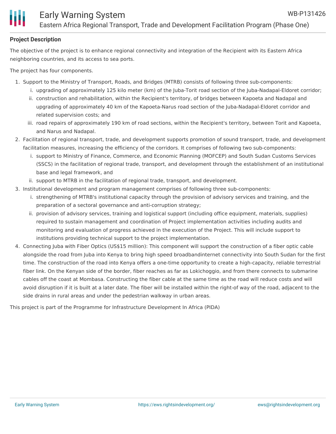# **Project Description**

The objective of the project is to enhance regional connectivity and integration of the Recipient with its Eastern Africa neighboring countries, and its access to sea ports.

The project has four components.

- 1. Support to the Ministry of Transport, Roads, and Bridges (MTRB) consists of following three sub-components:
	- i. upgrading of approximately 125 kilo meter (km) of the Juba-Torit road section of the Juba-Nadapal-Eldoret corridor;
	- ii. construction and rehabilitation, within the Recipient's territory, of bridges between Kapoeta and Nadapal and upgrading of approximately 40 km of the Kapoeta-Narus road section of the Juba-Nadapal-Eldoret corridor and related supervision costs; and
	- iii. road repairs of approximately 190 km of road sections, within the Recipient's territory, between Torit and Kapoeta, and Narus and Nadapal.
- 2. Facilitation of regional transport, trade, and development supports promotion of sound transport, trade, and development facilitation measures, increasing the efficiency of the corridors. It comprises of following two sub-components:
	- i. support to Ministry of Finance, Commerce, and Economic Planning (MOFCEP) and South Sudan Customs Services (SSCS) in the facilitation of regional trade, transport, and development through the establishment of an institutional base and legal framework, and
	- ii. support to MTRB in the facilitation of regional trade, transport, and development.
- 3. Institutional development and program management comprises of following three sub-components:
	- i. strengthening of MTRB's institutional capacity through the provision of advisory services and training, and the preparation of a sectoral governance and anti-corruption strategy;
	- ii. provision of advisory services, training and logistical support (including office equipment, materials, supplies) required to sustain management and coordination of Project implementation activities including audits and monitoring and evaluation of progress achieved in the execution of the Project. This will include support to institutions providing technical support to the project implementation.
- 4. Connecting Juba with Fiber Optics (US\$15 million): This component will support the construction of a fiber optic cable alongside the road from Juba into Kenya to bring high speed broadbandinternet connectivity into South Sudan for the first time. The construction of the road into Kenya offers a one-time opportunity to create a high-capacity, reliable terrestrial fiber link. On the Kenyan side of the border, fiber reaches as far as Lokichoggio, and from there connects to submarine cables off the coast at Mombasa. Constructing the fiber cable at the same time as the road will reduce costs and will avoid disruption if it is built at a later date. The fiber will be installed within the right-of way of the road, adjacent to the side drains in rural areas and under the pedestrian walkway in urban areas.

This project is part of the Programme for Infrastructure Development In Africa (PIDA)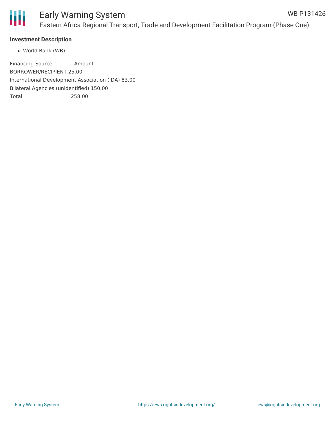

# **Investment Description**

World Bank (WB)

Financing Source Amount BORROWER/RECIPIENT 25.00 International Development Association (IDA) 83.00 Bilateral Agencies (unidentified) 150.00 Total 258.00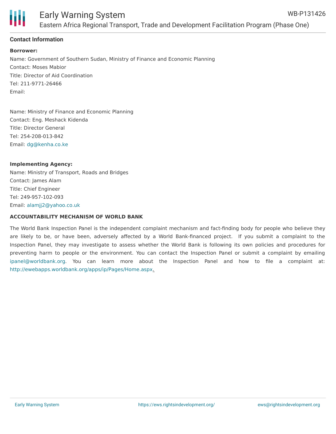

## **Contact Information**

#### **Borrower:**

Name: Government of Southern Sudan, Ministry of Finance and Economic Planning Contact: Moses Mabior Title: Director of Aid Coordination Tel: 211-9771-26466 Email:

Name: Ministry of Finance and Economic Planning Contact: Eng. Meshack Kidenda Title: Director General Tel: 254-208-013-842 Email: [dg@kenha.co.ke](mailto:dg@kenha.co.ke)

#### **Implementing Agency:**

Name: Ministry of Transport, Roads and Bridges Contact: James Alam Title: Chief Engineer Tel: 249-957-102-093 Email: [alamjj2@yahoo.co.uk](mailto:alamjj2@yahoo.co.uk)

#### **ACCOUNTABILITY MECHANISM OF WORLD BANK**

The World Bank Inspection Panel is the independent complaint mechanism and fact-finding body for people who believe they are likely to be, or have been, adversely affected by a World Bank-financed project. If you submit a complaint to the Inspection Panel, they may investigate to assess whether the World Bank is following its own policies and procedures for preventing harm to people or the environment. You can contact the Inspection Panel or submit a complaint by emailing [ipanel@worldbank.org](mailto:ipanel@worldbank.org). You can learn more about the Inspection Panel and how to file a complaint at: <http://ewebapps.worldbank.org/apps/ip/Pages/Home.aspx>.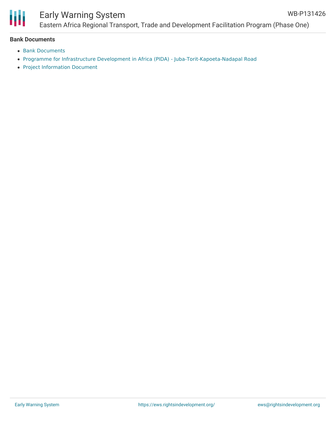

# Early Warning System

### **Bank Documents**

- Bank [Documents](http://projects.worldbank.org/P131426/?lang=en&tab=documents&subTab=projectDocuments)
- Programme for Infrastructure Development in Africa (PIDA) [Juba-Torit-Kapoeta-Nadapal](http://www.au-pida.org/view-project/739/) Road
- Project [Information](https://ewsdata.rightsindevelopment.org/files/documents/26/WB-P131426.pdf) Document